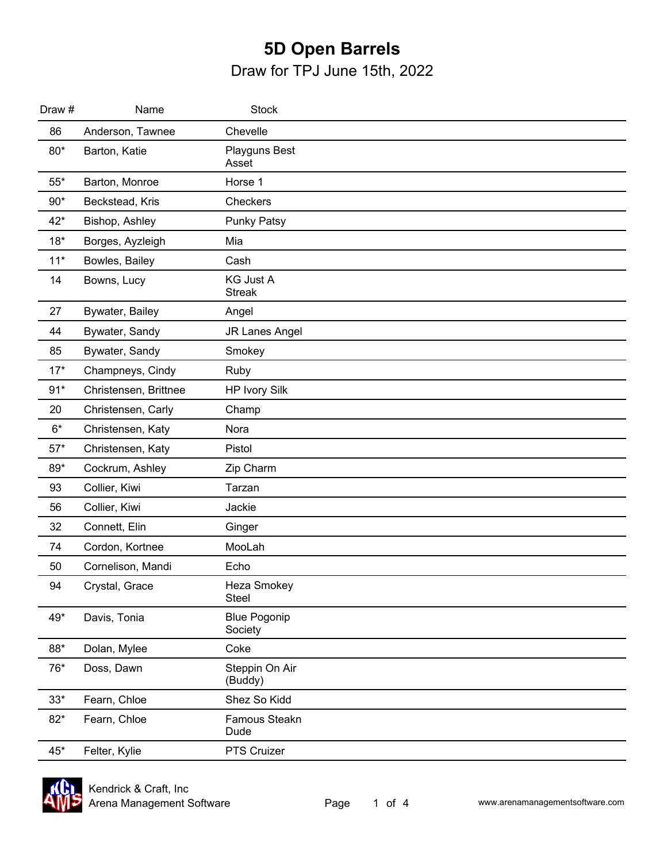| Draw #      | Name                  | <b>Stock</b>                      |  |
|-------------|-----------------------|-----------------------------------|--|
| 86          | Anderson, Tawnee      | Chevelle                          |  |
| $80*$       | Barton, Katie         | Playguns Best<br>Asset            |  |
| $55^{\ast}$ | Barton, Monroe        | Horse 1                           |  |
| $90*$       | Beckstead, Kris       | Checkers                          |  |
| $42*$       | Bishop, Ashley        | <b>Punky Patsy</b>                |  |
| $18*$       | Borges, Ayzleigh      | Mia                               |  |
| $11*$       | Bowles, Bailey        | Cash                              |  |
| 14          | Bowns, Lucy           | <b>KG Just A</b><br><b>Streak</b> |  |
| 27          | Bywater, Bailey       | Angel                             |  |
| 44          | Bywater, Sandy        | JR Lanes Angel                    |  |
| 85          | Bywater, Sandy        | Smokey                            |  |
| $17*$       | Champneys, Cindy      | Ruby                              |  |
| $91*$       | Christensen, Brittnee | <b>HP Ivory Silk</b>              |  |
| 20          | Christensen, Carly    | Champ                             |  |
| $6*$        | Christensen, Katy     | Nora                              |  |
| $57*$       | Christensen, Katy     | Pistol                            |  |
| 89*         | Cockrum, Ashley       | Zip Charm                         |  |
| 93          | Collier, Kiwi         | Tarzan                            |  |
| 56          | Collier, Kiwi         | Jackie                            |  |
| 32          | Connett, Elin         | Ginger                            |  |
| 74          | Cordon, Kortnee       | MooLah                            |  |
| 50          | Cornelison, Mandi     | Echo                              |  |
| 94          | Crystal, Grace        | Heza Smokey<br><b>Steel</b>       |  |
| 49*         | Davis, Tonia          | <b>Blue Pogonip</b><br>Society    |  |
| 88*         | Dolan, Mylee          | Coke                              |  |
| 76*         | Doss, Dawn            | Steppin On Air<br>(Buddy)         |  |
| $33*$       | Fearn, Chloe          | Shez So Kidd                      |  |
| $82*$       | Fearn, Chloe          | Famous Steakn<br>Dude             |  |
| 45*         | Felter, Kylie         | PTS Cruizer                       |  |

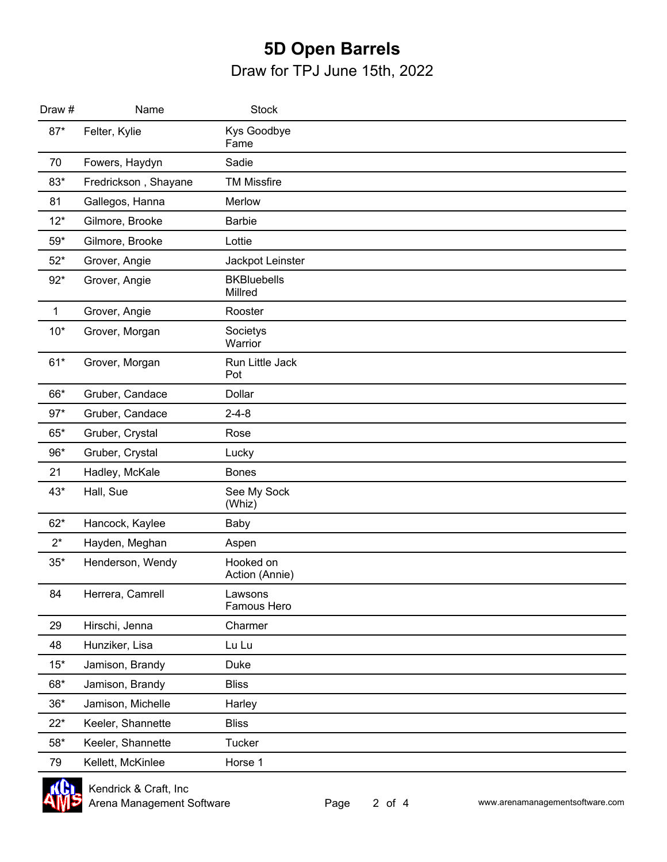| Draw #       | Name                 | <b>Stock</b>                  |  |
|--------------|----------------------|-------------------------------|--|
| $87*$        | Felter, Kylie        | Kys Goodbye<br>Fame           |  |
| 70           | Fowers, Haydyn       | Sadie                         |  |
| 83*          | Fredrickson, Shayane | <b>TM Missfire</b>            |  |
| 81           | Gallegos, Hanna      | Merlow                        |  |
| $12*$        | Gilmore, Brooke      | <b>Barbie</b>                 |  |
| $59*$        | Gilmore, Brooke      | Lottie                        |  |
| $52*$        | Grover, Angie        | Jackpot Leinster              |  |
| $92*$        | Grover, Angie        | <b>BKBluebells</b><br>Millred |  |
| $\mathbf{1}$ | Grover, Angie        | Rooster                       |  |
| $10*$        | Grover, Morgan       | Societys<br>Warrior           |  |
| $61*$        | Grover, Morgan       | Run Little Jack<br>Pot        |  |
| 66*          | Gruber, Candace      | <b>Dollar</b>                 |  |
| $97*$        | Gruber, Candace      | $2 - 4 - 8$                   |  |
| $65*$        | Gruber, Crystal      | Rose                          |  |
| 96*          | Gruber, Crystal      | Lucky                         |  |
| 21           | Hadley, McKale       | <b>Bones</b>                  |  |
| $43*$        | Hall, Sue            | See My Sock<br>(Whiz)         |  |
| $62*$        | Hancock, Kaylee      | Baby                          |  |
| $2^*$        | Hayden, Meghan       | Aspen                         |  |
| $35*$        | Henderson, Wendy     | Hooked on<br>Action (Annie)   |  |
| 84           | Herrera, Camrell     | Lawsons<br>Famous Hero        |  |
| 29           | Hirschi, Jenna       | Charmer                       |  |
| 48           | Hunziker, Lisa       | Lu Lu                         |  |
| $15*$        | Jamison, Brandy      | Duke                          |  |
| 68*          | Jamison, Brandy      | <b>Bliss</b>                  |  |
| $36*$        | Jamison, Michelle    | Harley                        |  |
| $22*$        | Keeler, Shannette    | <b>Bliss</b>                  |  |
| $58*$        | Keeler, Shannette    | Tucker                        |  |
| 79           | Kellett, McKinlee    | Horse 1                       |  |

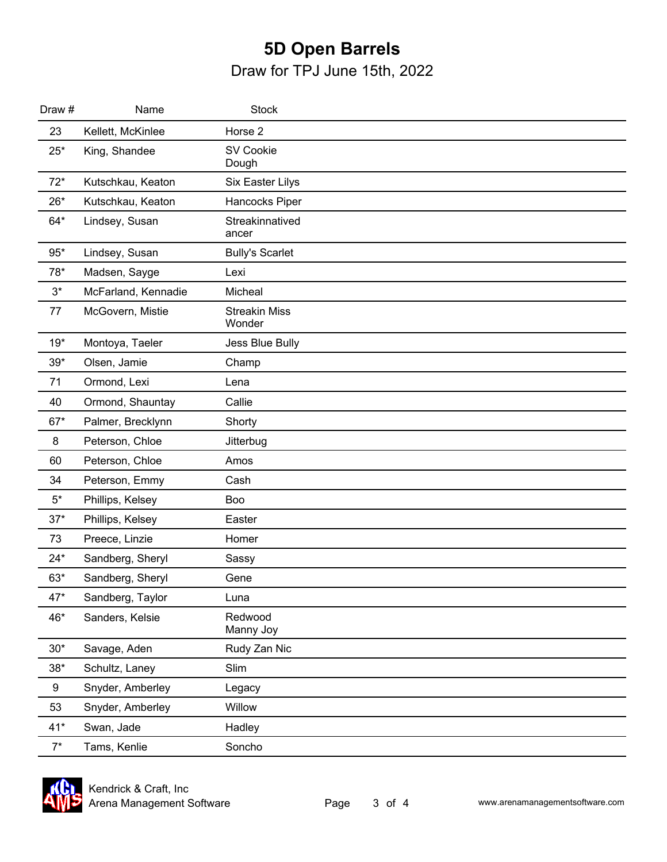| Draw # | Name                | <b>Stock</b>                   |  |
|--------|---------------------|--------------------------------|--|
| 23     | Kellett, McKinlee   | Horse 2                        |  |
| $25*$  | King, Shandee       | <b>SV Cookie</b><br>Dough      |  |
| $72*$  | Kutschkau, Keaton   | Six Easter Lilys               |  |
| $26*$  | Kutschkau, Keaton   | Hancocks Piper                 |  |
| 64*    | Lindsey, Susan      | Streakinnatived<br>ancer       |  |
| $95*$  | Lindsey, Susan      | <b>Bully's Scarlet</b>         |  |
| 78*    | Madsen, Sayge       | Lexi                           |  |
| $3^*$  | McFarland, Kennadie | Micheal                        |  |
| 77     | McGovern, Mistie    | <b>Streakin Miss</b><br>Wonder |  |
| $19*$  | Montoya, Taeler     | Jess Blue Bully                |  |
| $39*$  | Olsen, Jamie        | Champ                          |  |
| 71     | Ormond, Lexi        | Lena                           |  |
| 40     | Ormond, Shauntay    | Callie                         |  |
| $67*$  | Palmer, Brecklynn   | Shorty                         |  |
| 8      | Peterson, Chloe     | Jitterbug                      |  |
| 60     | Peterson, Chloe     | Amos                           |  |
| 34     | Peterson, Emmy      | Cash                           |  |
| $5^*$  | Phillips, Kelsey    | Boo                            |  |
| $37*$  | Phillips, Kelsey    | Easter                         |  |
| 73     | Preece, Linzie      | Homer                          |  |
| $24*$  | Sandberg, Sheryl    | Sassy                          |  |
| $63*$  | Sandberg, Sheryl    | Gene                           |  |
| $47*$  | Sandberg, Taylor    | Luna                           |  |
| 46*    | Sanders, Kelsie     | Redwood<br>Manny Joy           |  |
| $30*$  | Savage, Aden        | Rudy Zan Nic                   |  |
| $38*$  | Schultz, Laney      | Slim                           |  |
| 9      | Snyder, Amberley    | Legacy                         |  |
| 53     | Snyder, Amberley    | Willow                         |  |
| $41*$  | Swan, Jade          | Hadley                         |  |
| $7^*$  | Tams, Kenlie        | Soncho                         |  |